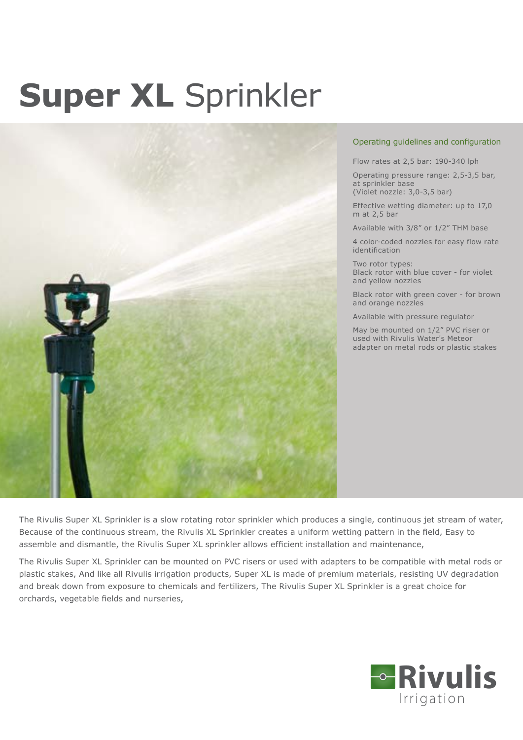## **Super XL** Sprinkler



## Operating guidelines and configuration

Flow rates at 2,5 bar: 190-340 lph

Operating pressure range: 2,5-3,5 bar, at sprinkler base (Violet nozzle: 3,0-3,5 bar)

Effective wetting diameter: up to 17,0 m at 2,5 bar

Available with 3/8" or 1/2" THM base

4 color-coded nozzles for easy flow rate identification

Two rotor types: Black rotor with blue cover - for violet and yellow nozzles

Black rotor with green cover - for brown and orange nozzles

Available with pressure regulator

May be mounted on 1/2" PVC riser or used with Rivulis Water's Meteor adapter on metal rods or plastic stakes

The Rivulis Super XL Sprinkler is a slow rotating rotor sprinkler which produces a single, continuous jet stream of water, Because of the continuous stream, the Rivulis XL Sprinkler creates a uniform wetting pattern in the field, Easy to assemble and dismantle, the Rivulis Super XL sprinkler allows efficient installation and maintenance,

The Rivulis Super XL Sprinkler can be mounted on PVC risers or used with adapters to be compatible with metal rods or plastic stakes, And like all Rivulis irrigation products, Super XL is made of premium materials, resisting UV degradation and break down from exposure to chemicals and fertilizers, The Rivulis Super XL Sprinkler is a great choice for orchards, vegetable fields and nurseries,